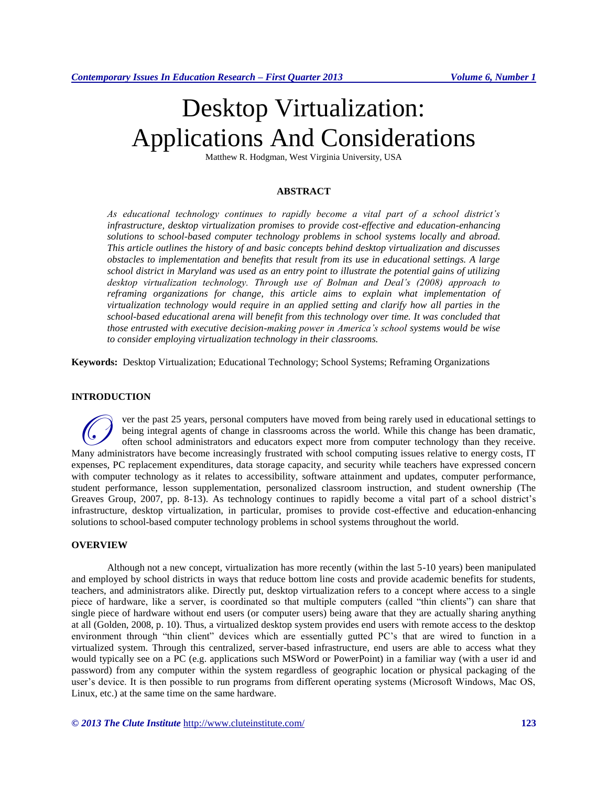# Desktop Virtualization: Applications And Considerations

Matthew R. Hodgman, West Virginia University, USA

#### **ABSTRACT**

*As educational technology continues to rapidly become a vital part of a school district's infrastructure, desktop virtualization promises to provide cost-effective and education-enhancing solutions to school-based computer technology problems in school systems locally and abroad. This article outlines the history of and basic concepts behind desktop virtualization and discusses obstacles to implementation and benefits that result from its use in educational settings. A large school district in Maryland was used as an entry point to illustrate the potential gains of utilizing desktop virtualization technology. Through use of Bolman and Deal's (2008) approach to*  reframing organizations for change, this article aims to explain what implementation of *virtualization technology would require in an applied setting and clarify how all parties in the school-based educational arena will benefit from this technology over time. It was concluded that those entrusted with executive decision-making power in America's school systems would be wise to consider employing virtualization technology in their classrooms.*

**Keywords:** Desktop Virtualization; Educational Technology; School Systems; Reframing Organizations

#### **INTRODUCTION**

ver the past 25 years, personal computers have moved from being rarely used in educational settings to being integral agents of change in classrooms across the world. While this change has been dramatic, often school administrators and educators expect more from computer technology than they receive. Wer the past 25 years, personal computers have moved from being rarely used in educational settings to being integral agents of change in classrooms across the world. While this change has been dramatic, often school admin expenses, PC replacement expenditures, data storage capacity, and security while teachers have expressed concern with computer technology as it relates to accessibility, software attainment and updates, computer performance, student performance, lesson supplementation, personalized classroom instruction, and student ownership (The Greaves Group, 2007, pp. 8-13). As technology continues to rapidly become a vital part of a school district's infrastructure, desktop virtualization, in particular, promises to provide cost-effective and education-enhancing solutions to school-based computer technology problems in school systems throughout the world.

# **OVERVIEW**

Although not a new concept, virtualization has more recently (within the last 5-10 years) been manipulated and employed by school districts in ways that reduce bottom line costs and provide academic benefits for students, teachers, and administrators alike. Directly put, desktop virtualization refers to a concept where access to a single piece of hardware, like a server, is coordinated so that multiple computers (called "thin clients") can share that single piece of hardware without end users (or computer users) being aware that they are actually sharing anything at all (Golden, 2008, p. 10). Thus, a virtualized desktop system provides end users with remote access to the desktop environment through "thin client" devices which are essentially gutted PC's that are wired to function in a virtualized system. Through this centralized, server-based infrastructure, end users are able to access what they would typically see on a PC (e.g. applications such MSWord or PowerPoint) in a familiar way (with a user id and password) from any computer within the system regardless of geographic location or physical packaging of the user's device. It is then possible to run programs from different operating systems (Microsoft Windows, Mac OS, Linux, etc.) at the same time on the same hardware.

*© 2013 The Clute Institute* <http://www.cluteinstitute.com/> **123**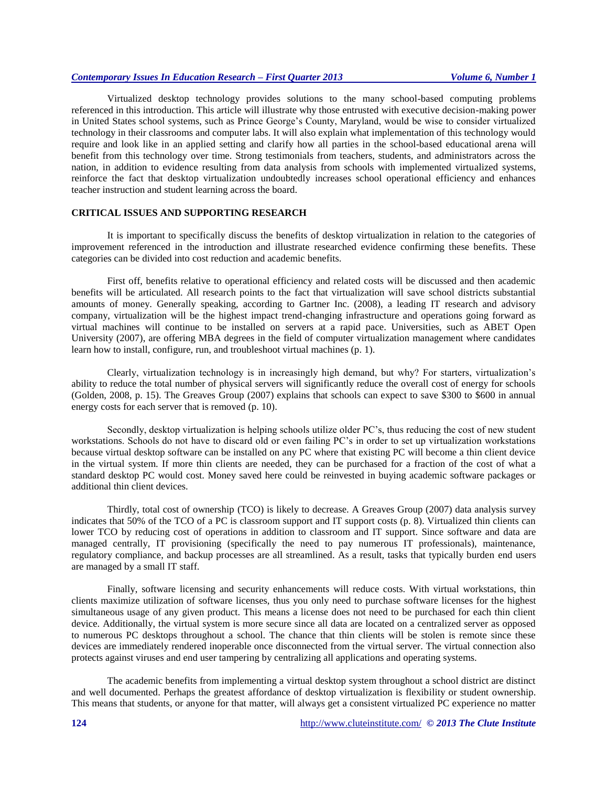Virtualized desktop technology provides solutions to the many school-based computing problems referenced in this introduction. This article will illustrate why those entrusted with executive decision-making power in United States school systems, such as Prince George's County, Maryland, would be wise to consider virtualized technology in their classrooms and computer labs. It will also explain what implementation of this technology would require and look like in an applied setting and clarify how all parties in the school-based educational arena will benefit from this technology over time. Strong testimonials from teachers, students, and administrators across the nation, in addition to evidence resulting from data analysis from schools with implemented virtualized systems, reinforce the fact that desktop virtualization undoubtedly increases school operational efficiency and enhances teacher instruction and student learning across the board.

#### **CRITICAL ISSUES AND SUPPORTING RESEARCH**

It is important to specifically discuss the benefits of desktop virtualization in relation to the categories of improvement referenced in the introduction and illustrate researched evidence confirming these benefits. These categories can be divided into cost reduction and academic benefits.

First off, benefits relative to operational efficiency and related costs will be discussed and then academic benefits will be articulated. All research points to the fact that virtualization will save school districts substantial amounts of money. Generally speaking, according to Gartner Inc. (2008), a leading IT research and advisory company, virtualization will be the highest impact trend-changing infrastructure and operations going forward as virtual machines will continue to be installed on servers at a rapid pace. Universities, such as ABET Open University (2007), are offering MBA degrees in the field of computer virtualization management where candidates learn how to install, configure, run, and troubleshoot virtual machines (p. 1).

Clearly, virtualization technology is in increasingly high demand, but why? For starters, virtualization's ability to reduce the total number of physical servers will significantly reduce the overall cost of energy for schools (Golden, 2008, p. 15). The Greaves Group (2007) explains that schools can expect to save \$300 to \$600 in annual energy costs for each server that is removed (p. 10).

Secondly, desktop virtualization is helping schools utilize older PC's, thus reducing the cost of new student workstations. Schools do not have to discard old or even failing PC's in order to set up virtualization workstations because virtual desktop software can be installed on any PC where that existing PC will become a thin client device in the virtual system. If more thin clients are needed, they can be purchased for a fraction of the cost of what a standard desktop PC would cost. Money saved here could be reinvested in buying academic software packages or additional thin client devices.

Thirdly, total cost of ownership (TCO) is likely to decrease. A Greaves Group (2007) data analysis survey indicates that 50% of the TCO of a PC is classroom support and IT support costs (p. 8). Virtualized thin clients can lower TCO by reducing cost of operations in addition to classroom and IT support. Since software and data are managed centrally, IT provisioning (specifically the need to pay numerous IT professionals), maintenance, regulatory compliance, and backup processes are all streamlined. As a result, tasks that typically burden end users are managed by a small IT staff.

Finally, software licensing and security enhancements will reduce costs. With virtual workstations, thin clients maximize utilization of software licenses, thus you only need to purchase software licenses for the highest simultaneous usage of any given product. This means a license does not need to be purchased for each thin client device. Additionally, the virtual system is more secure since all data are located on a centralized server as opposed to numerous PC desktops throughout a school. The chance that thin clients will be stolen is remote since these devices are immediately rendered inoperable once disconnected from the virtual server. The virtual connection also protects against viruses and end user tampering by centralizing all applications and operating systems.

The academic benefits from implementing a virtual desktop system throughout a school district are distinct and well documented. Perhaps the greatest affordance of desktop virtualization is flexibility or student ownership. This means that students, or anyone for that matter, will always get a consistent virtualized PC experience no matter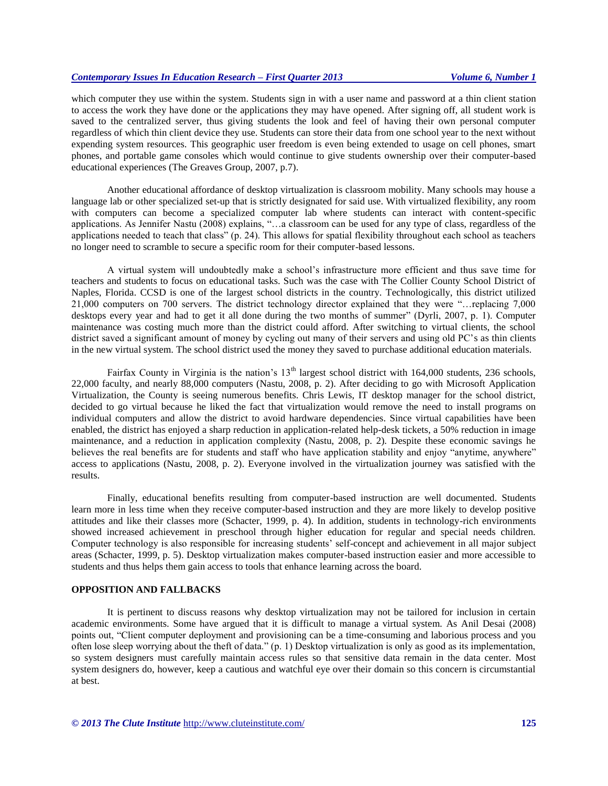which computer they use within the system. Students sign in with a user name and password at a thin client station to access the work they have done or the applications they may have opened. After signing off, all student work is saved to the centralized server, thus giving students the look and feel of having their own personal computer regardless of which thin client device they use. Students can store their data from one school year to the next without expending system resources. This geographic user freedom is even being extended to usage on cell phones, smart phones, and portable game consoles which would continue to give students ownership over their computer-based educational experiences (The Greaves Group, 2007, p.7).

Another educational affordance of desktop virtualization is classroom mobility. Many schools may house a language lab or other specialized set-up that is strictly designated for said use. With virtualized flexibility, any room with computers can become a specialized computer lab where students can interact with content-specific applications. As Jennifer Nastu (2008) explains, "…a classroom can be used for any type of class, regardless of the applications needed to teach that class" (p. 24). This allows for spatial flexibility throughout each school as teachers no longer need to scramble to secure a specific room for their computer-based lessons.

A virtual system will undoubtedly make a school's infrastructure more efficient and thus save time for teachers and students to focus on educational tasks. Such was the case with The Collier County School District of Naples, Florida. CCSD is one of the largest school districts in the country. Technologically, this district utilized 21,000 computers on 700 servers. The district technology director explained that they were "…replacing 7,000 desktops every year and had to get it all done during the two months of summer" (Dyrli, 2007, p. 1). Computer maintenance was costing much more than the district could afford. After switching to virtual clients, the school district saved a significant amount of money by cycling out many of their servers and using old PC's as thin clients in the new virtual system. The school district used the money they saved to purchase additional education materials.

Fairfax County in Virginia is the nation's 13<sup>th</sup> largest school district with 164,000 students, 236 schools, 22,000 faculty, and nearly 88,000 computers (Nastu, 2008, p. 2). After deciding to go with Microsoft Application Virtualization, the County is seeing numerous benefits. Chris Lewis, IT desktop manager for the school district, decided to go virtual because he liked the fact that virtualization would remove the need to install programs on individual computers and allow the district to avoid hardware dependencies. Since virtual capabilities have been enabled, the district has enjoyed a sharp reduction in application-related help-desk tickets, a 50% reduction in image maintenance, and a reduction in application complexity (Nastu, 2008, p. 2). Despite these economic savings he believes the real benefits are for students and staff who have application stability and enjoy "anytime, anywhere" access to applications (Nastu, 2008, p. 2). Everyone involved in the virtualization journey was satisfied with the results.

Finally, educational benefits resulting from computer-based instruction are well documented. Students learn more in less time when they receive computer-based instruction and they are more likely to develop positive attitudes and like their classes more (Schacter, 1999, p. 4). In addition, students in technology-rich environments showed increased achievement in preschool through higher education for regular and special needs children. Computer technology is also responsible for increasing students' self-concept and achievement in all major subject areas (Schacter, 1999, p. 5). Desktop virtualization makes computer-based instruction easier and more accessible to students and thus helps them gain access to tools that enhance learning across the board.

#### **OPPOSITION AND FALLBACKS**

It is pertinent to discuss reasons why desktop virtualization may not be tailored for inclusion in certain academic environments. Some have argued that it is difficult to manage a virtual system. As Anil Desai (2008) points out, "Client computer deployment and provisioning can be a time-consuming and laborious process and you often lose sleep worrying about the theft of data." (p. 1) Desktop virtualization is only as good as its implementation, so system designers must carefully maintain access rules so that sensitive data remain in the data center. Most system designers do, however, keep a cautious and watchful eye over their domain so this concern is circumstantial at best.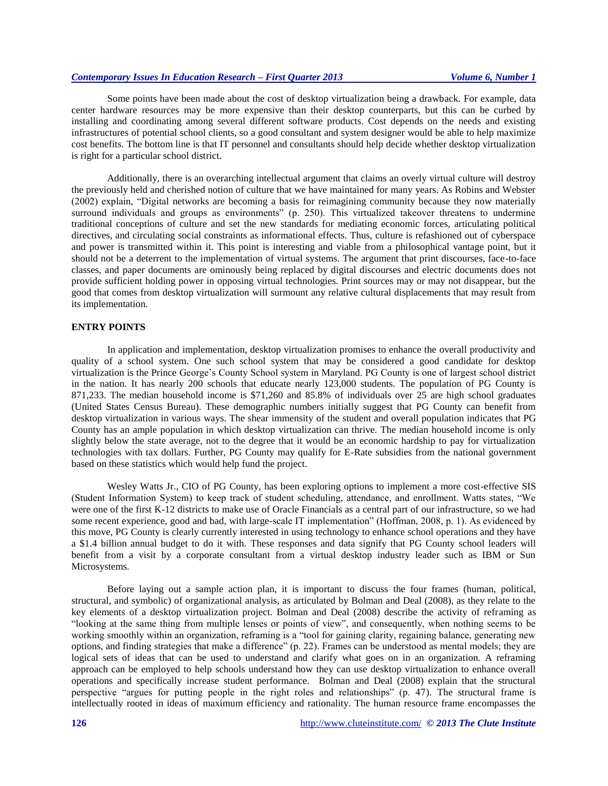Some points have been made about the cost of desktop virtualization being a drawback. For example, data center hardware resources may be more expensive than their desktop counterparts, but this can be curbed by installing and coordinating among several different software products. Cost depends on the needs and existing infrastructures of potential school clients, so a good consultant and system designer would be able to help maximize cost benefits. The bottom line is that IT personnel and consultants should help decide whether desktop virtualization is right for a particular school district.

Additionally, there is an overarching intellectual argument that claims an overly virtual culture will destroy the previously held and cherished notion of culture that we have maintained for many years. As Robins and Webster (2002) explain, "Digital networks are becoming a basis for reimagining community because they now materially surround individuals and groups as environments" (p. 250). This virtualized takeover threatens to undermine traditional conceptions of culture and set the new standards for mediating economic forces, articulating political directives, and circulating social constraints as informational effects. Thus, culture is refashioned out of cyberspace and power is transmitted within it. This point is interesting and viable from a philosophical vantage point, but it should not be a deterrent to the implementation of virtual systems. The argument that print discourses, face-to-face classes, and paper documents are ominously being replaced by digital discourses and electric documents does not provide sufficient holding power in opposing virtual technologies. Print sources may or may not disappear, but the good that comes from desktop virtualization will surmount any relative cultural displacements that may result from its implementation.

### **ENTRY POINTS**

In application and implementation, desktop virtualization promises to enhance the overall productivity and quality of a school system. One such school system that may be considered a good candidate for desktop virtualization is the Prince George's County School system in Maryland. PG County is one of largest school district in the nation. It has nearly 200 schools that educate nearly 123,000 students. The population of PG County is 871,233. The median household income is \$71,260 and 85.8% of individuals over 25 are high school graduates (United States Census Bureau). These demographic numbers initially suggest that PG County can benefit from desktop virtualization in various ways. The shear immensity of the student and overall population indicates that PG County has an ample population in which desktop virtualization can thrive. The median household income is only slightly below the state average, not to the degree that it would be an economic hardship to pay for virtualization technologies with tax dollars. Further, PG County may qualify for E-Rate subsidies from the national government based on these statistics which would help fund the project.

Wesley Watts Jr., CIO of PG County, has been exploring options to implement a more cost-effective SIS (Student Information System) to keep track of student scheduling, attendance, and enrollment. Watts states, "We were one of the first K-12 districts to make use of Oracle Financials as a central part of our infrastructure, so we had some recent experience, good and bad, with large-scale IT implementation" (Hoffman, 2008, p. 1). As evidenced by this move, PG County is clearly currently interested in using technology to enhance school operations and they have a \$1.4 billion annual budget to do it with. These responses and data signify that PG County school leaders will benefit from a visit by a corporate consultant from a virtual desktop industry leader such as IBM or Sun Microsystems.

Before laying out a sample action plan, it is important to discuss the four frames (human, political, structural, and symbolic) of organizational analysis, as articulated by Bolman and Deal (2008), as they relate to the key elements of a desktop virtualization project. Bolman and Deal (2008) describe the activity of reframing as "looking at the same thing from multiple lenses or points of view", and consequently, when nothing seems to be working smoothly within an organization, reframing is a "tool for gaining clarity, regaining balance, generating new options, and finding strategies that make a difference" (p. 22). Frames can be understood as mental models; they are logical sets of ideas that can be used to understand and clarify what goes on in an organization. A reframing approach can be employed to help schools understand how they can use desktop virtualization to enhance overall operations and specifically increase student performance. Bolman and Deal (2008) explain that the structural perspective "argues for putting people in the right roles and relationships" (p. 47). The structural frame is intellectually rooted in ideas of maximum efficiency and rationality. The human resource frame encompasses the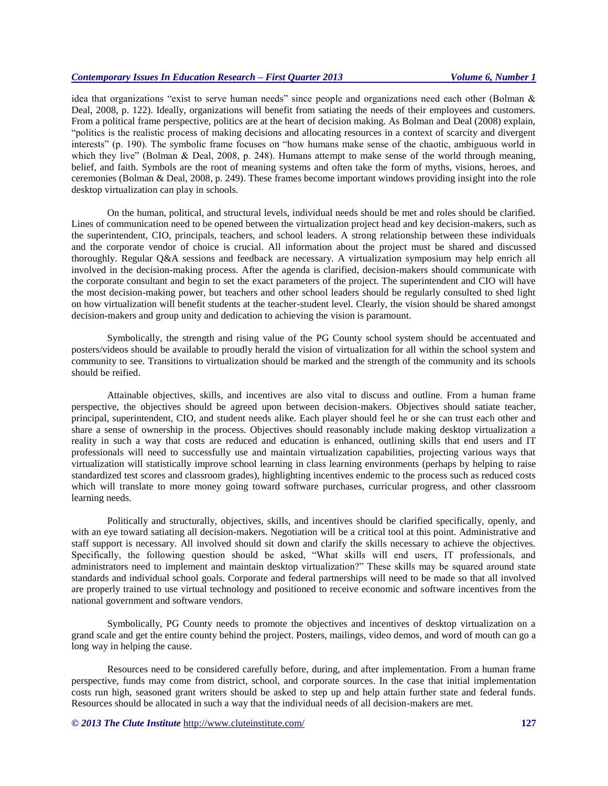idea that organizations "exist to serve human needs" since people and organizations need each other (Bolman & Deal, 2008, p. 122). Ideally, organizations will benefit from satiating the needs of their employees and customers. From a political frame perspective, politics are at the heart of decision making. As Bolman and Deal (2008) explain, "politics is the realistic process of making decisions and allocating resources in a context of scarcity and divergent interests" (p. 190). The symbolic frame focuses on "how humans make sense of the chaotic, ambiguous world in which they live" (Bolman & Deal, 2008, p. 248). Humans attempt to make sense of the world through meaning, belief, and faith. Symbols are the root of meaning systems and often take the form of myths, visions, heroes, and ceremonies (Bolman & Deal, 2008, p. 249). These frames become important windows providing insight into the role desktop virtualization can play in schools.

On the human, political, and structural levels, individual needs should be met and roles should be clarified. Lines of communication need to be opened between the virtualization project head and key decision-makers, such as the superintendent, CIO, principals, teachers, and school leaders. A strong relationship between these individuals and the corporate vendor of choice is crucial. All information about the project must be shared and discussed thoroughly. Regular Q&A sessions and feedback are necessary. A virtualization symposium may help enrich all involved in the decision-making process. After the agenda is clarified, decision-makers should communicate with the corporate consultant and begin to set the exact parameters of the project. The superintendent and CIO will have the most decision-making power, but teachers and other school leaders should be regularly consulted to shed light on how virtualization will benefit students at the teacher-student level. Clearly, the vision should be shared amongst decision-makers and group unity and dedication to achieving the vision is paramount.

Symbolically, the strength and rising value of the PG County school system should be accentuated and posters/videos should be available to proudly herald the vision of virtualization for all within the school system and community to see. Transitions to virtualization should be marked and the strength of the community and its schools should be reified.

Attainable objectives, skills, and incentives are also vital to discuss and outline. From a human frame perspective, the objectives should be agreed upon between decision-makers. Objectives should satiate teacher, principal, superintendent, CIO, and student needs alike. Each player should feel he or she can trust each other and share a sense of ownership in the process. Objectives should reasonably include making desktop virtualization a reality in such a way that costs are reduced and education is enhanced, outlining skills that end users and IT professionals will need to successfully use and maintain virtualization capabilities, projecting various ways that virtualization will statistically improve school learning in class learning environments (perhaps by helping to raise standardized test scores and classroom grades), highlighting incentives endemic to the process such as reduced costs which will translate to more money going toward software purchases, curricular progress, and other classroom learning needs.

Politically and structurally, objectives, skills, and incentives should be clarified specifically, openly, and with an eye toward satiating all decision-makers. Negotiation will be a critical tool at this point. Administrative and staff support is necessary. All involved should sit down and clarify the skills necessary to achieve the objectives. Specifically, the following question should be asked, "What skills will end users, IT professionals, and administrators need to implement and maintain desktop virtualization?" These skills may be squared around state standards and individual school goals. Corporate and federal partnerships will need to be made so that all involved are properly trained to use virtual technology and positioned to receive economic and software incentives from the national government and software vendors.

Symbolically, PG County needs to promote the objectives and incentives of desktop virtualization on a grand scale and get the entire county behind the project. Posters, mailings, video demos, and word of mouth can go a long way in helping the cause.

Resources need to be considered carefully before, during, and after implementation. From a human frame perspective, funds may come from district, school, and corporate sources. In the case that initial implementation costs run high, seasoned grant writers should be asked to step up and help attain further state and federal funds. Resources should be allocated in such a way that the individual needs of all decision-makers are met.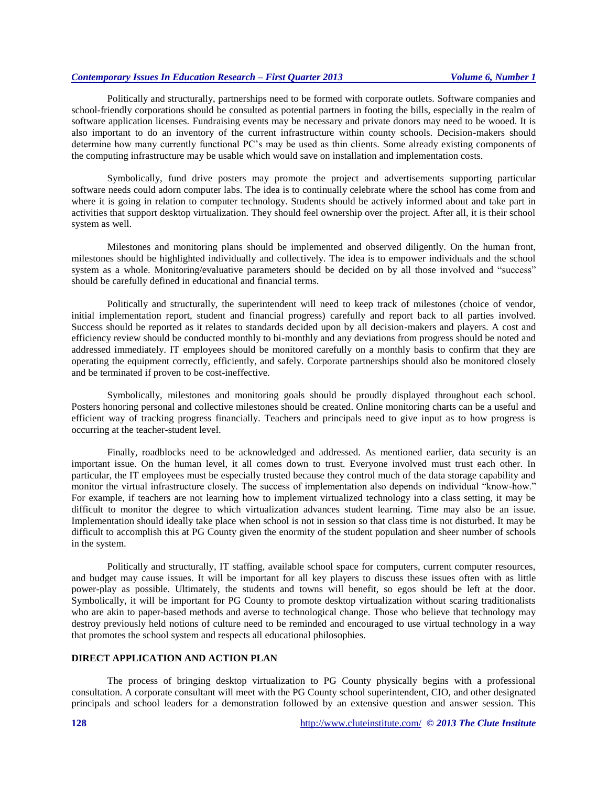Politically and structurally, partnerships need to be formed with corporate outlets. Software companies and school-friendly corporations should be consulted as potential partners in footing the bills, especially in the realm of software application licenses. Fundraising events may be necessary and private donors may need to be wooed. It is also important to do an inventory of the current infrastructure within county schools. Decision-makers should determine how many currently functional PC's may be used as thin clients. Some already existing components of the computing infrastructure may be usable which would save on installation and implementation costs.

Symbolically, fund drive posters may promote the project and advertisements supporting particular software needs could adorn computer labs. The idea is to continually celebrate where the school has come from and where it is going in relation to computer technology. Students should be actively informed about and take part in activities that support desktop virtualization. They should feel ownership over the project. After all, it is their school system as well.

Milestones and monitoring plans should be implemented and observed diligently. On the human front, milestones should be highlighted individually and collectively. The idea is to empower individuals and the school system as a whole. Monitoring/evaluative parameters should be decided on by all those involved and "success" should be carefully defined in educational and financial terms.

Politically and structurally, the superintendent will need to keep track of milestones (choice of vendor, initial implementation report, student and financial progress) carefully and report back to all parties involved. Success should be reported as it relates to standards decided upon by all decision-makers and players. A cost and efficiency review should be conducted monthly to bi-monthly and any deviations from progress should be noted and addressed immediately. IT employees should be monitored carefully on a monthly basis to confirm that they are operating the equipment correctly, efficiently, and safely. Corporate partnerships should also be monitored closely and be terminated if proven to be cost-ineffective.

Symbolically, milestones and monitoring goals should be proudly displayed throughout each school. Posters honoring personal and collective milestones should be created. Online monitoring charts can be a useful and efficient way of tracking progress financially. Teachers and principals need to give input as to how progress is occurring at the teacher-student level.

Finally, roadblocks need to be acknowledged and addressed. As mentioned earlier, data security is an important issue. On the human level, it all comes down to trust. Everyone involved must trust each other. In particular, the IT employees must be especially trusted because they control much of the data storage capability and monitor the virtual infrastructure closely. The success of implementation also depends on individual "know-how." For example, if teachers are not learning how to implement virtualized technology into a class setting, it may be difficult to monitor the degree to which virtualization advances student learning. Time may also be an issue. Implementation should ideally take place when school is not in session so that class time is not disturbed. It may be difficult to accomplish this at PG County given the enormity of the student population and sheer number of schools in the system.

Politically and structurally, IT staffing, available school space for computers, current computer resources, and budget may cause issues. It will be important for all key players to discuss these issues often with as little power-play as possible. Ultimately, the students and towns will benefit, so egos should be left at the door. Symbolically, it will be important for PG County to promote desktop virtualization without scaring traditionalists who are akin to paper-based methods and averse to technological change. Those who believe that technology may destroy previously held notions of culture need to be reminded and encouraged to use virtual technology in a way that promotes the school system and respects all educational philosophies.

#### **DIRECT APPLICATION AND ACTION PLAN**

The process of bringing desktop virtualization to PG County physically begins with a professional consultation. A corporate consultant will meet with the PG County school superintendent, CIO, and other designated principals and school leaders for a demonstration followed by an extensive question and answer session. This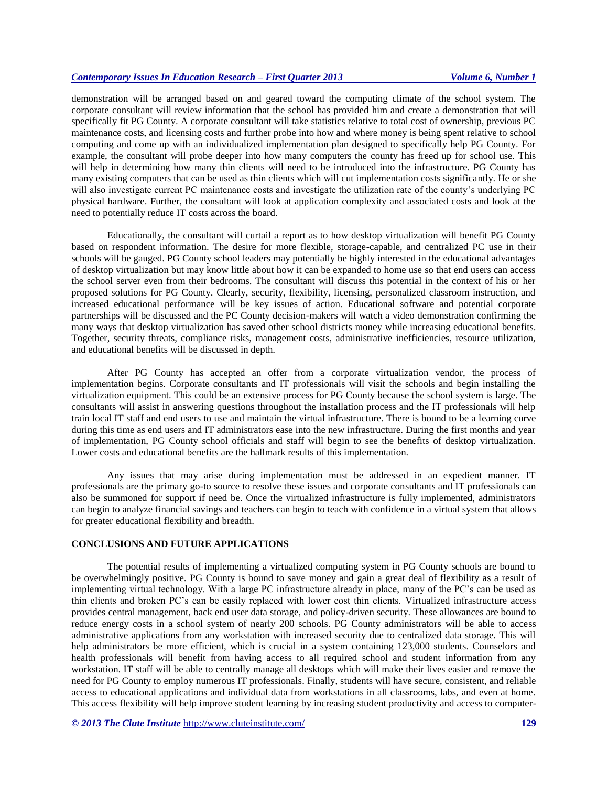demonstration will be arranged based on and geared toward the computing climate of the school system. The corporate consultant will review information that the school has provided him and create a demonstration that will specifically fit PG County. A corporate consultant will take statistics relative to total cost of ownership, previous PC maintenance costs, and licensing costs and further probe into how and where money is being spent relative to school computing and come up with an individualized implementation plan designed to specifically help PG County. For example, the consultant will probe deeper into how many computers the county has freed up for school use. This will help in determining how many thin clients will need to be introduced into the infrastructure. PG County has many existing computers that can be used as thin clients which will cut implementation costs significantly. He or she will also investigate current PC maintenance costs and investigate the utilization rate of the county's underlying PC physical hardware. Further, the consultant will look at application complexity and associated costs and look at the need to potentially reduce IT costs across the board.

Educationally, the consultant will curtail a report as to how desktop virtualization will benefit PG County based on respondent information. The desire for more flexible, storage-capable, and centralized PC use in their schools will be gauged. PG County school leaders may potentially be highly interested in the educational advantages of desktop virtualization but may know little about how it can be expanded to home use so that end users can access the school server even from their bedrooms. The consultant will discuss this potential in the context of his or her proposed solutions for PG County. Clearly, security, flexibility, licensing, personalized classroom instruction, and increased educational performance will be key issues of action. Educational software and potential corporate partnerships will be discussed and the PC County decision-makers will watch a video demonstration confirming the many ways that desktop virtualization has saved other school districts money while increasing educational benefits. Together, security threats, compliance risks, management costs, administrative inefficiencies, resource utilization, and educational benefits will be discussed in depth.

After PG County has accepted an offer from a corporate virtualization vendor, the process of implementation begins. Corporate consultants and IT professionals will visit the schools and begin installing the virtualization equipment. This could be an extensive process for PG County because the school system is large. The consultants will assist in answering questions throughout the installation process and the IT professionals will help train local IT staff and end users to use and maintain the virtual infrastructure. There is bound to be a learning curve during this time as end users and IT administrators ease into the new infrastructure. During the first months and year of implementation, PG County school officials and staff will begin to see the benefits of desktop virtualization. Lower costs and educational benefits are the hallmark results of this implementation.

Any issues that may arise during implementation must be addressed in an expedient manner. IT professionals are the primary go-to source to resolve these issues and corporate consultants and IT professionals can also be summoned for support if need be. Once the virtualized infrastructure is fully implemented, administrators can begin to analyze financial savings and teachers can begin to teach with confidence in a virtual system that allows for greater educational flexibility and breadth.

#### **CONCLUSIONS AND FUTURE APPLICATIONS**

The potential results of implementing a virtualized computing system in PG County schools are bound to be overwhelmingly positive. PG County is bound to save money and gain a great deal of flexibility as a result of implementing virtual technology. With a large PC infrastructure already in place, many of the PC's can be used as thin clients and broken PC's can be easily replaced with lower cost thin clients. Virtualized infrastructure access provides central management, back end user data storage, and policy-driven security. These allowances are bound to reduce energy costs in a school system of nearly 200 schools. PG County administrators will be able to access administrative applications from any workstation with increased security due to centralized data storage. This will help administrators be more efficient, which is crucial in a system containing 123,000 students. Counselors and health professionals will benefit from having access to all required school and student information from any workstation. IT staff will be able to centrally manage all desktops which will make their lives easier and remove the need for PG County to employ numerous IT professionals. Finally, students will have secure, consistent, and reliable access to educational applications and individual data from workstations in all classrooms, labs, and even at home. This access flexibility will help improve student learning by increasing student productivity and access to computer-

*© 2013 The Clute Institute* <http://www.cluteinstitute.com/> **129**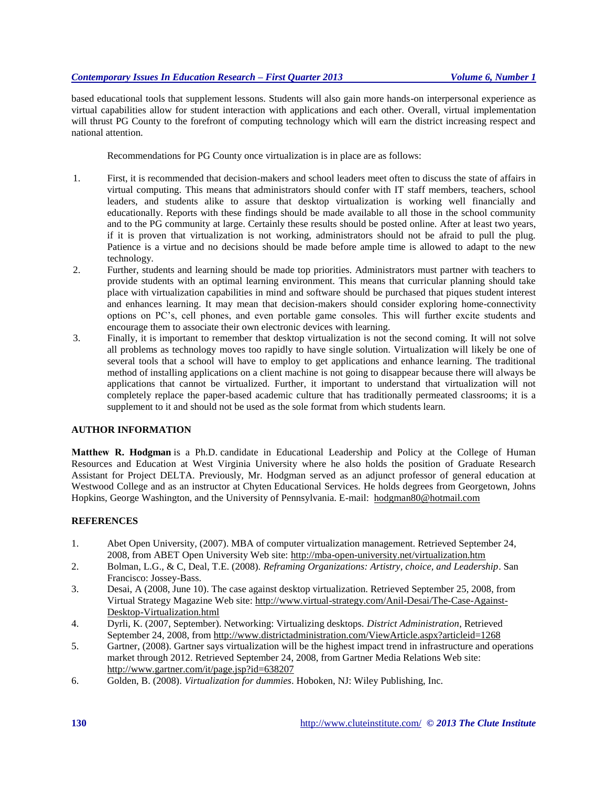based educational tools that supplement lessons. Students will also gain more hands-on interpersonal experience as virtual capabilities allow for student interaction with applications and each other. Overall, virtual implementation will thrust PG County to the forefront of computing technology which will earn the district increasing respect and national attention.

Recommendations for PG County once virtualization is in place are as follows:

- 1. First, it is recommended that decision-makers and school leaders meet often to discuss the state of affairs in virtual computing. This means that administrators should confer with IT staff members, teachers, school leaders, and students alike to assure that desktop virtualization is working well financially and educationally. Reports with these findings should be made available to all those in the school community and to the PG community at large. Certainly these results should be posted online. After at least two years, if it is proven that virtualization is not working, administrators should not be afraid to pull the plug. Patience is a virtue and no decisions should be made before ample time is allowed to adapt to the new technology.
- 2. Further, students and learning should be made top priorities. Administrators must partner with teachers to provide students with an optimal learning environment. This means that curricular planning should take place with virtualization capabilities in mind and software should be purchased that piques student interest and enhances learning. It may mean that decision-makers should consider exploring home-connectivity options on PC's, cell phones, and even portable game consoles. This will further excite students and encourage them to associate their own electronic devices with learning.
- 3. Finally, it is important to remember that desktop virtualization is not the second coming. It will not solve all problems as technology moves too rapidly to have single solution. Virtualization will likely be one of several tools that a school will have to employ to get applications and enhance learning. The traditional method of installing applications on a client machine is not going to disappear because there will always be applications that cannot be virtualized. Further, it important to understand that virtualization will not completely replace the paper-based academic culture that has traditionally permeated classrooms; it is a supplement to it and should not be used as the sole format from which students learn.

# **AUTHOR INFORMATION**

**Matthew R. Hodgman** is a Ph.D. candidate in Educational Leadership and Policy at the College of Human Resources and Education at West Virginia University where he also holds the position of Graduate Research Assistant for Project DELTA. Previously, Mr. Hodgman served as an adjunct professor of general education at Westwood College and as an instructor at Chyten Educational Services. He holds degrees from Georgetown, Johns Hopkins, George Washington, and the University of Pennsylvania. E-mail: [hodgman80@hotmail.com](mailto:hodgman80@hotmail.com)

# **REFERENCES**

- 1. Abet Open University, (2007). MBA of computer virtualization management. Retrieved September 24, 2008, from ABET Open University Web site:<http://mba-open-university.net/virtualization.htm>
- 2. Bolman, L.G., & C, Deal, T.E. (2008). *Reframing Organizations: Artistry, choice, and Leadership*. San Francisco: Jossey-Bass.
- 3. Desai, A (2008, June 10). The case against desktop virtualization. Retrieved September 25, 2008, from Virtual Strategy Magazine Web site: [http://www.virtual-strategy.com/Anil-D](http://www.virtual-strategy.com/Anil-)esai/The-Case-Against-Desktop-Virtualization.html
- 4. Dyrli, K. (2007, September). Networking: Virtualizing desktops. *District Administration*, Retrieved September 24, 2008, from http://www.districtadministration.com/ViewArticle.aspx?articleid=1268
- 5. Gartner, (2008). Gartner says virtualization will be the highest impact trend in infrastructure and operations market through 2012. Retrieved September 24, 2008, from Gartner Media Relations Web site: <http://www.gartner.com/it/page.jsp?id=638207>
- 6. Golden, B. (2008). *Virtualization for dummies*. Hoboken, NJ: Wiley Publishing, Inc.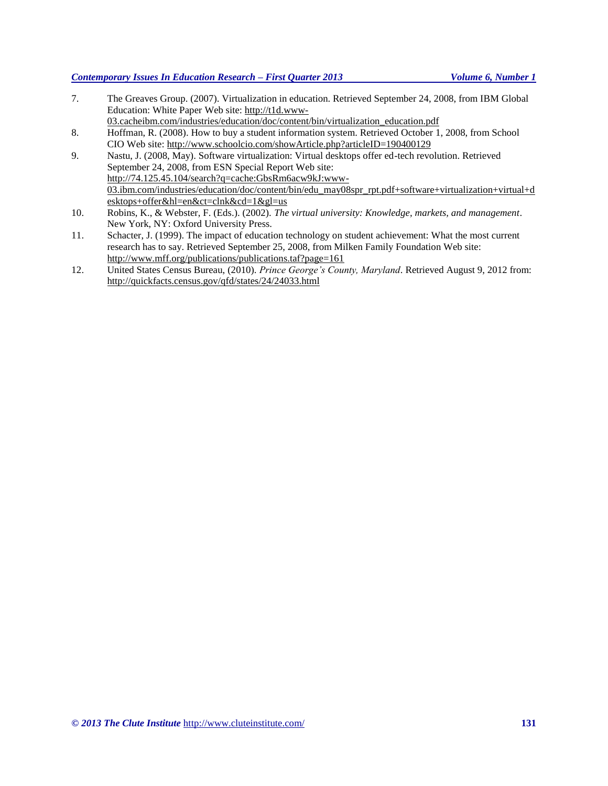# *© 2013 The Clute Institute* <http://www.cluteinstitute.com/> **131**

# *Contemporary Issues In Education Research – First Quarter 2013 Volume 6, Number 1*

- 7. The Greaves Group. (2007). Virtualization in education. Retrieved September 24, 2008, from IBM Global Education: White Paper Web site[: http://t1d.www-](http://t1d.www-/)
- 03.cacheibm.com/industries/education/doc/content/bin/virtualization\_education.pdf 8. Hoffman, R. (2008). How to buy a student information system. Retrieved October 1, 2008, from School
- CIO Web site:<http://www.schoolcio.com/showArticle.php?articleID=190400129>
- 9. Nastu, J. (2008, May). Software virtualization: Virtual desktops offer ed-tech revolution. Retrieved September 24, 2008, from ESN Special Report Web site: <http://74.125.45.104/search?q=cache:GbsRm6acw9kJ:www->03.ibm.com/industries/education/doc/content/bin/edu\_may08spr\_rpt.pdf+software+virtualization+virtual+d esktops+offer&hl=en&ct=clnk&cd=1&gl=us
- 10. Robins, K., & Webster, F. (Eds.). (2002). *The virtual university: Knowledge, markets, and management*. New York, NY: Oxford University Press.
- 11. Schacter, J. (1999). The impact of education technology on student achievement: What the most current research has to say. Retrieved September 25, 2008, from Milken Family Foundation Web site: <http://www.mff.org/publications/publications.taf?page=161>
- 12. United States Census Bureau, (2010). *Prince George's County, Maryland*. Retrieved August 9, 2012 from: http://quickfacts.census.gov/qfd/states/24/24033.html